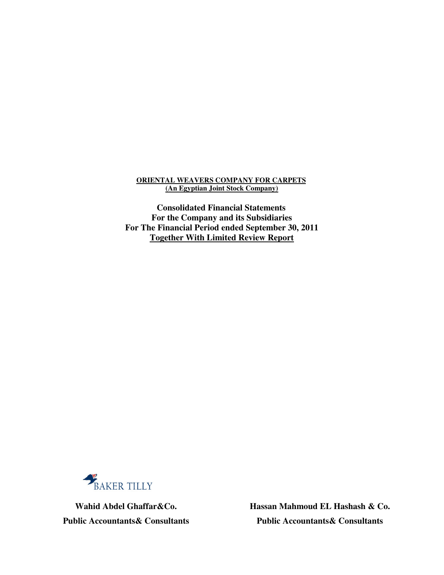#### **ORIENTAL WEAVERS COMPANY FOR CARPETS (An Egyptian Joint Stock Company)**

**Consolidated Financial Statements For the Company and its Subsidiaries For The Financial Period ended September 30, 2011 Together With Limited Review Report**



 **Hassan Mahmoud EL Hashash & Co. Wahid Abdel Ghaffar&Co. Public Accountants& Consultants Public Accountants& Consultants**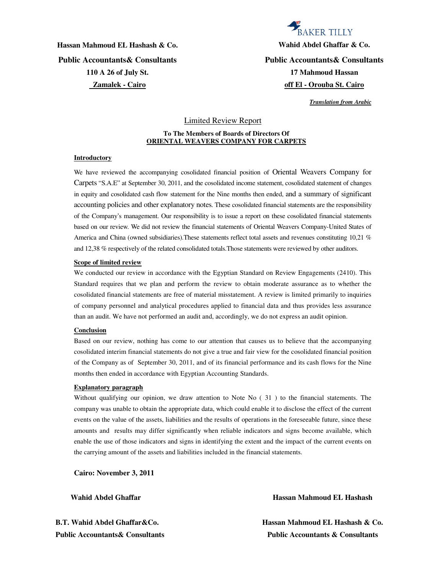**Hassan Mahmoud EL Hashash & Co. Wahid Abdel Ghaffar & Co. Public Accountants& Consultants Public Accountants& Consultants 110 A 26 of July St. Zamalek - Cairo**

# **BAKER TILLY**

**17 Mahmoud Hassan off El - Orouba St. Cairo**

 *Translation from Arabic*

#### Limited Review Report

#### **To The Members of Boards of Directors Of ORIENTAL WEAVERS COMPANY FOR CARPETS**

#### **Introductory**

We have reviewed the accompanying cosolidated financial position of Oriental Weavers Company for Carpets "S.A.E" at September 30, 2011, and the cosolidated income statement, cosolidated statement of changes in equity and cosolidated cash flow statement for the Nine months then ended, and a summary of significant accounting policies and other explanatory notes. These cosolidated financial statements are the responsibility of the Company's management. Our responsibility is to issue a report on these cosolidated financial statements based on our review. We did not review the financial statements of Oriental Weavers Company-United States of America and China (owned subsidiaries).These statements reflect total assets and revenues constituting 10,21 % and 12,38 % respectively of the related consolidated totals.Those statements were reviewed by other auditors.

#### **Scope of limited review**

We conducted our review in accordance with the Egyptian Standard on Review Engagements (2410). This Standard requires that we plan and perform the review to obtain moderate assurance as to whether the cosolidated financial statements are free of material misstatement. A review is limited primarily to inquiries of company personnel and analytical procedures applied to financial data and thus provides less assurance than an audit. We have not performed an audit and, accordingly, we do not express an audit opinion.

#### **Conclusion**

Based on our review, nothing has come to our attention that causes us to believe that the accompanying cosolidated interim financial statements do not give a true and fair view for the cosolidated financial position of the Company as of September 30, 2011, and of its financial performance and its cash flows for the Nine months then ended in accordance with Egyptian Accounting Standards.

#### **Explanatory paragraph**

Without qualifying our opinion, we draw attention to Note No ( 31 ) to the financial statements. The company was unable to obtain the appropriate data, which could enable it to disclose the effect of the current events on the value of the assets, liabilities and the results of operations in the foreseeable future, since these amounts and results may differ significantly when reliable indicators and signs become available, which enable the use of those indicators and signs in identifying the extent and the impact of the current events on the carrying amount of the assets and liabilities included in the financial statements.

**Cairo: November 3, 2011** 

#### **Wahid Abdel Ghaffar Hassan Mahmoud EL Hashash**

**B.T. Wahid Abdel Ghaffar&Co. Hassan Mahmoud EL Hashash & Co. Public Accountants& Consultants Public Accountants & Consultants**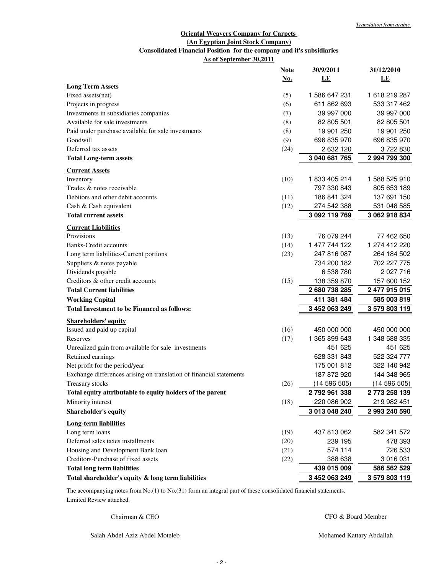#### **Oriental Weavers Company for Carpets (An Egyptian Joint Stock Company) As of September 30,2011 Consolidated Financial Position for the company and it's subsidiaries**

|                                                                     | <b>Note</b> | 30/9/2011     | 31/12/2010    |
|---------------------------------------------------------------------|-------------|---------------|---------------|
|                                                                     | No.         | LE            | LE            |
| <b>Long Term Assets</b>                                             |             |               |               |
| Fixed assets(net)                                                   | (5)         | 1 586 647 231 | 1618219287    |
| Projects in progress                                                | (6)         | 611 862 693   | 533 317 462   |
| Investments in subsidiaries companies                               | (7)         | 39 997 000    | 39 997 000    |
| Available for sale investments                                      | (8)         | 82 805 501    | 82 805 501    |
| Paid under purchase available for sale investments                  | (8)         | 19 901 250    | 19 901 250    |
| Goodwill                                                            | (9)         | 696 835 970   | 696 835 970   |
| Deferred tax assets                                                 | (24)        | 2 632 120     | 3722830       |
| <b>Total Long-term assets</b>                                       |             | 3 040 681 765 | 2 994 799 300 |
| <b>Current Assets</b>                                               |             |               |               |
| Inventory                                                           | (10)        | 1833 405 214  | 1 588 525 910 |
| Trades & notes receivable                                           |             | 797 330 843   | 805 653 189   |
| Debitors and other debit accounts                                   | (11)        | 186 841 324   | 137 691 150   |
| Cash & Cash equivalent                                              | (12)        | 274 542 388   | 531 048 585   |
| <b>Total current assets</b>                                         |             | 3 092 119 769 | 3 062 918 834 |
| <b>Current Liabilities</b>                                          |             |               |               |
| Provisions                                                          | (13)        | 76 079 244    | 77 462 650    |
| <b>Banks-Credit accounts</b>                                        | (14)        | 1 477 744 122 | 1 274 412 220 |
| Long term liabilities-Current portions                              | (23)        | 247 816 087   | 264 184 502   |
| Suppliers & notes payable                                           |             | 734 200 182   | 702 227 775   |
| Dividends payable                                                   |             | 6 538 780     | 2 027 716     |
| Creditors & other credit accounts                                   | (15)        | 138 359 870   | 157 600 152   |
| <b>Total Current liabilities</b>                                    |             | 2680738285    | 2 477 915 015 |
| <b>Working Capital</b>                                              |             | 411 381 484   | 585 003 819   |
| <b>Total Investment to be Financed as follows:</b>                  |             | 3 452 063 249 | 3 579 803 119 |
| <b>Shareholders' equity</b>                                         |             |               |               |
| Issued and paid up capital                                          | (16)        | 450 000 000   | 450 000 000   |
| Reserves                                                            | (17)        | 1 365 899 643 | 1 348 588 335 |
| Unrealized gain from available for sale investments                 |             | 451 625       | 451 625       |
| Retained earnings                                                   |             | 628 331 843   | 522 324 777   |
| Net profit for the period/year                                      |             | 175 001 812   | 322 140 942   |
| Exchange differences arising on translation of financial statements |             | 187 872 920   | 144 348 965   |
| Treasury stocks                                                     | (26)        | (14596505)    | (14596505)    |
| Total equity attributable to equity holders of the parent           |             | 2792961338    | 2 773 258 139 |
| Minority interest                                                   | (18)        | 220 086 902   | 219 982 451   |
| Shareholder's equity                                                |             | 3 013 048 240 | 2 993 240 590 |
| <b>Long-term liabilities</b>                                        |             |               |               |
| Long term loans                                                     | (19)        | 437 813 062   | 582 341 572   |
| Deferred sales taxes installments                                   | (20)        | 239 195       | 478 393       |
| Housing and Development Bank loan                                   | (21)        | 574 114       | 726 533       |
| Creditors-Purchase of fixed assets                                  | (22)        | 388 638       | 3 016 031     |
| <b>Total long term liabilities</b>                                  |             | 439 015 009   | 586 562 529   |
| Total shareholder's equity & long term liabilities                  |             | 3 452 063 249 | 3 579 803 119 |

٦ Limited Review attached. The accompanying notes from No.(1) to No.(31) form an integral part of these consolidated financial statements.

Chairman & CEO

CFO & Board Member

Salah Abdel Aziz Abdel Moteleb

Mohamed Kattary Abdallah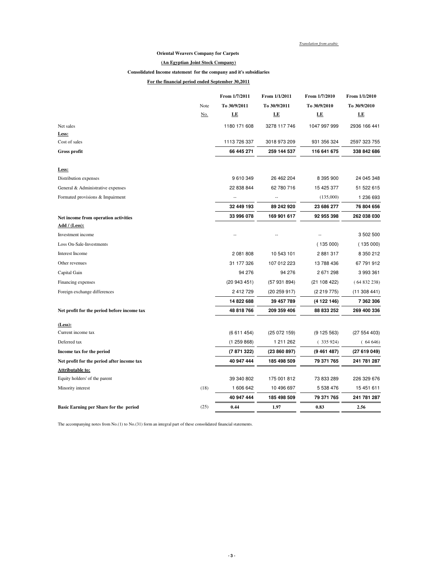*Translation from arabic*

#### **Oriental Weavers Company for Carpets**

#### **(An Egyptian Joint Stock Company)**

#### **Consolidated Income statement for the company and it's subsidiaries**

**For the financial period ended September 30,2011**

|                                             |            | From 1/7/2011 | From 1/1/2011 | From 1/7/2010 | From 1/1/2010 |
|---------------------------------------------|------------|---------------|---------------|---------------|---------------|
|                                             | Note       | To 30/9/2011  | To 30/9/2011  | To 30/9/2010  | To 30/9/2010  |
|                                             | <u>No.</u> | LE            | LE            | LE            | LE            |
| Net sales                                   |            | 1180 171 608  | 3278 117 746  | 1047 997 999  | 2936 166 441  |
| Less:                                       |            |               |               |               |               |
| Cost of sales                               |            | 1113 726 337  | 3018 973 209  | 931 356 324   | 2597 323 755  |
| <b>Gross profit</b>                         |            | 66 445 271    | 259 144 537   | 116 641 675   | 338 842 686   |
| Less:                                       |            |               |               |               |               |
| Distribution expenses                       |            | 9 610 349     | 26 462 204    | 8 395 900     | 24 045 348    |
| General & Administrative expenses           |            | 22 838 844    | 62 780 716    | 15 425 377    | 51 522 615    |
| Formated provisions & Impairment            |            | --            | --            | (135,000)     | 1 236 693     |
|                                             |            | 32 449 193    | 89 242 920    | 23 686 277    | 76 804 656    |
| Net income from operation activities        |            | 33 996 078    | 169 901 617   | 92 955 398    | 262 038 030   |
| Add / (Less):                               |            |               |               |               |               |
| Investment income                           |            |               |               | Ξ.            | 3 502 500     |
| Loss On-Sale-Investments                    |            |               |               | (135000)      | (135000)      |
| Interest Income                             |            | 2 081 808     | 10 543 101    | 2881317       | 8 350 212     |
| Other revenues                              |            | 31 177 326    | 107 012 223   | 13 788 436    | 67 791 912    |
| Capital Gain                                |            | 94 276        | 94 276        | 2 671 298     | 3 993 361     |
| Financing expenses                          |            | (20943451)    | (57 931 894)  | (21 108 422)  | (64832238)    |
| Foreign exchange differences                |            | 2 412 729     | (20 259 917)  | (2 219 775)   | (11308441)    |
|                                             |            | 14 822 688    | 39 457 789    | (4 122 146)   | 7 362 306     |
| Net profit for the period before income tax |            | 48 818 766    | 209 359 406   | 88 833 252    | 269 400 336   |
| (Less):                                     |            |               |               |               |               |
| Current income tax                          |            | (6611454)     | (25072159)    | (9125563)     | (27 554 403)  |
| Deferred tax                                |            | (1259868)     | 1 211 262     | (335924)      | (64646)       |
| Income tax for the period                   |            | (7 871 322)   | (23 860 897)  | (9461487)     | (27619049)    |
| Net profit for the period after income tax  |            | 40 947 444    | 185 498 509   | 79 371 765    | 241 781 287   |
| <b>Attributable to:</b>                     |            |               |               |               |               |
| Equity holders' of the parent               |            | 39 340 802    | 175 001 812   | 73 833 289    | 226 329 676   |
| Minority interest                           | (18)       | 1 606 642     | 10 496 697    | 5 538 476     | 15 451 611    |
|                                             |            | 40 947 444    | 185 498 509   | 79 371 765    | 241 781 287   |
| Basic Earning per Share for the period      | (25)       | 0.44          | 1.97          | 0.83          | 2.56          |

The accompanying notes from No.(1) to No.(31) form an integral part of these consolidated financial statements.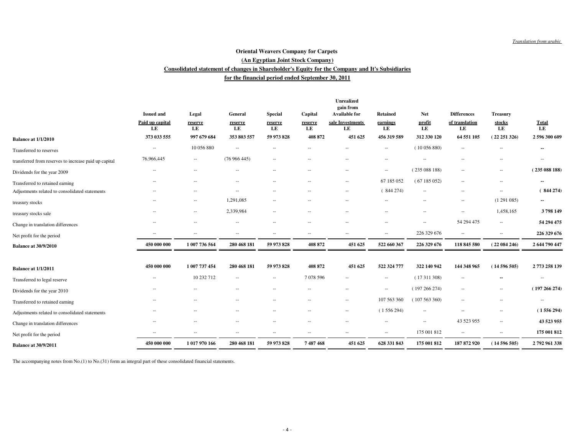#### **for the financial period ended September 30, 2011Consolidated statement of changes in Shareholder's Equity for the Company and It's Subsidiaries (An Egyptian Joint Stock Company)Oriental Weavers Company for Carpets**

|                                                       |                          |                          |                                                |                          |                          | Unrealized<br>gain from  |                          |                          |                          |                          |                    |
|-------------------------------------------------------|--------------------------|--------------------------|------------------------------------------------|--------------------------|--------------------------|--------------------------|--------------------------|--------------------------|--------------------------|--------------------------|--------------------|
|                                                       | <b>Issued and</b>        | Legal                    | General                                        | <b>Special</b>           | Capital                  | <b>Available for</b>     | Retained                 | <b>Net</b>               | <b>Differences</b>       | <b>Treasury</b>          |                    |
|                                                       | Paid up capital<br>LE    | reserve<br>LE            | reserve<br>LE                                  | reserve<br>LE            | reserve<br>LE            | sale Investments<br>LE   | earnings<br>LE           | profit<br>LE             | of translation<br>LE     | stocks<br>LE             | <b>Total</b><br>LE |
| <b>Balance at 1/1/2010</b>                            | 373 033 555              | 997 679 684              | 353 803 557                                    | 59 973 828               | 408 872                  | 451 625                  | 456 319 589              | 312 330 120              | 64 551 105               | (22251326)               | 2 596 300 609      |
| Transferred to reserves                               | $\sim$                   | 10 056 880               | $\sim$                                         |                          | $\overline{a}$           | $\overline{\phantom{a}}$ | $\hspace{0.05cm} -$      | (10056880)               | $\overline{\phantom{a}}$ | $\overline{\phantom{a}}$ | --                 |
| transferred from reserves to increase paid up capital | 76,966,445               | ۰.                       | (76966445)                                     | $\cdots$                 | $\qquad \qquad -$        | $\overline{\phantom{a}}$ | $\overline{\phantom{a}}$ | $\overline{a}$           | $\overline{\phantom{a}}$ | $-\, -$                  | $\cdots$           |
| Dividends for the year 2009                           | $\overline{\phantom{a}}$ | $\qquad \qquad -$        | $\sim$                                         | $\overline{a}$           | $\overline{a}$           | $\overline{\phantom{a}}$ | $\overline{\phantom{a}}$ | (235088188)              | $\overline{\phantom{a}}$ | $-\, -$                  | (235088188)        |
| Transferred to retained earning                       | $\sim$                   | $\overline{\phantom{m}}$ | $\hspace{0.1mm}-\hspace{0.1mm}-\hspace{0.1mm}$ | $\overline{a}$           | $\overline{\phantom{a}}$ | $\overline{\phantom{a}}$ | 67 185 052               | (67185052)               | $\overline{\phantom{a}}$ | $-\, -$                  | --                 |
| Adjustments related to consolidated statements        |                          | $-$                      | $\sim$                                         |                          | $\overline{\phantom{a}}$ | $\sim$                   | (844274)                 | $\overline{\phantom{a}}$ | $\overline{\phantom{a}}$ | $\overline{\phantom{a}}$ | (844274)           |
| treasury stocks                                       | $\sim$                   | $\sim$                   | 1,291,085                                      | $\overline{\phantom{a}}$ | $\hspace{0.05cm} -$      | $\sim$                   | $\hspace{0.05cm} -$      | $\overline{\phantom{a}}$ | $\overline{\phantom{a}}$ | (1291085)                | $\sim$             |
| treasury stocks sale                                  |                          | $\sim$                   | 2,339,984                                      | $\overline{a}$           | $\overline{a}$           |                          | --                       | $\overline{\phantom{a}}$ | $\overline{\phantom{a}}$ | 1,458,165                | 3798149            |
| Change in translation differences                     |                          | $-$                      | $\sim$                                         |                          | ٠.                       | $\sim$                   | $\overline{a}$           | $\sim$                   | 54 294 475               | $\overline{\phantom{a}}$ | 54 294 475         |
| Net profit for the period                             | $\overline{\phantom{a}}$ | $\overline{\phantom{a}}$ | $\overline{\phantom{a}}$                       | $\sim$                   | $\hspace{0.05cm} -$      | $\sim$                   | $\overline{\phantom{a}}$ | 226 329 676              | $\overline{\phantom{a}}$ | $\overline{\phantom{a}}$ | 226 329 676        |
| <b>Balance at 30/9/2010</b>                           | 450 000 000              | 1 007 736 564            | 280 468 181                                    | 59 973 828               | 408 872                  | 451 625                  | 522 660 367              | 226 329 676              | 118 845 580              | (22084246)               | 2 644 790 447      |
|                                                       |                          |                          |                                                |                          |                          |                          |                          |                          |                          |                          |                    |
| <b>Balance at 1/1/2011</b>                            | 450 000 000              | 1 007 737 454            | 280 468 181                                    | 59 973 828               | 408 872                  | 451 625                  | 522 324 777              | 322 140 942              | 144 348 965              | (14596505)               | 2773 258 139       |
| Transferred to legal reserve                          | $\overline{\phantom{a}}$ | 10 232 712               | $\sim$                                         | $\overline{\phantom{a}}$ | 7078596                  | $\sim$                   | $\overline{\phantom{a}}$ | (17311308)               | $\overline{\phantom{a}}$ | $\overline{\phantom{a}}$ | $\cdots$           |
| Dividends for the year 2010                           | $\overline{\phantom{a}}$ | $\sim$                   | $\sim$                                         | $\overline{\phantom{a}}$ | $\overline{\phantom{a}}$ | $\overline{\phantom{a}}$ | $\overline{\phantom{a}}$ | (197266274)              | $\overline{\phantom{a}}$ | $\overline{\phantom{a}}$ | (197266274)        |
| Transferred to retained earning                       | $\overline{\phantom{a}}$ | $- -$                    | $\sim$                                         | $\overline{\phantom{a}}$ | $\overline{\phantom{a}}$ | $\overline{\phantom{a}}$ | 107 563 360              | (107563360)              | $\overline{\phantom{a}}$ | $\overline{\phantom{a}}$ | $\hspace{0.05cm}$  |
| Adjustments related to consolidated statements        | $\overline{\phantom{a}}$ | $-$                      | $\overline{a}$                                 | $\overline{a}$           | $\overline{\phantom{a}}$ | $\overline{\phantom{a}}$ | (1556294)                | $\overline{\phantom{a}}$ | $\overline{\phantom{a}}$ | $\overline{\phantom{a}}$ | (1556294)          |
| Change in translation differences                     | --                       | $\overline{\phantom{a}}$ | $\overline{\phantom{a}}$                       | $\overline{\phantom{a}}$ | $\hspace{0.05cm} -$      | $\overline{\phantom{a}}$ | $\overline{\phantom{a}}$ | $\overline{\phantom{a}}$ | 43 523 955               | $\overline{\phantom{a}}$ | 43 523 955         |
| Net profit for the period                             |                          | $-$                      |                                                |                          | $\qquad \qquad -$        | $\overline{\phantom{a}}$ | $\sim$                   | 175 001 812              | $\overline{\phantom{a}}$ | $\overline{\phantom{a}}$ | 175 001 812        |
| <b>Balance at 30/9/2011</b>                           | 450 000 000              | 1 017 970 166            | 280 468 181                                    | 59 973 828               | 7487468                  | 451 625                  | 628 331 843              | 175 001 812              | 187 872 920              | (14596505)               | 2792961338         |

The accompanying notes from No.(1) to No.(31) form an integral part of these consolidated financial statements.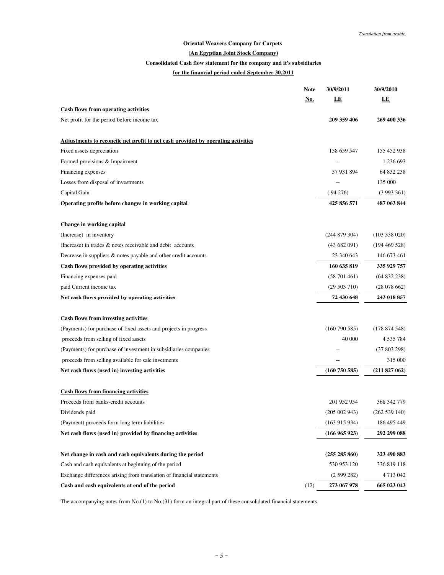#### **Oriental Weavers Company for Carpets**

#### **(An Egyptian Joint Stock Company)**

#### **Consolidated Cash flow statement for the company and it's subsidiaries**

#### **for the financial period ended September 30,2011**

|                                                                                  | <b>Note</b> | 30/9/2011         | 30/9/2010         |
|----------------------------------------------------------------------------------|-------------|-------------------|-------------------|
|                                                                                  | <u>No.</u>  | LE                | LE                |
| <b>Cash flows from operating activities</b>                                      |             |                   |                   |
| Net profit for the period before income tax                                      |             | 209 359 406       | 269 400 336       |
| Adjustments to reconcile net profit to net cash provided by operating activities |             |                   |                   |
| Fixed assets depreciation                                                        |             | 158 659 547       | 155 452 938       |
| Formed provisions & Impairment                                                   |             |                   | 1 236 693         |
| Financing expenses                                                               |             | 57 931 894        | 64 832 238        |
| Losses from disposal of investments                                              |             |                   | 135 000           |
| Capital Gain                                                                     |             | (94276)           | (3993361)         |
| Operating profits before changes in working capital                              |             | 425 856 571       | 487 063 844       |
| <b>Change in working capital</b>                                                 |             |                   |                   |
| (Increase) in inventory                                                          |             | (244 879 304)     | $(103\ 338\ 020)$ |
| (Increase) in trades & notes receivable and debit accounts                       |             | (43682091)        | (194469528)       |
| Decrease in suppliers & notes payable and other credit accounts                  |             | 23 340 643        | 146 673 461       |
| Cash flows provided by operating activities                                      |             | 160 635 819       | 335 929 757       |
| Financing expenses paid                                                          |             | (58701461)        | (64832238)        |
| paid Current income tax                                                          |             | (29 503 710)      | (28078662)        |
| Net cash flows provided by operating activities                                  |             | 72 430 648        | 243 018 857       |
| <b>Cash flows from investing activities</b>                                      |             |                   |                   |
| (Payments) for purchase of fixed assets and projects in progress                 |             | (160790585)       | (178874548)       |
| proceeds from selling of fixed assets                                            |             | 40 000            | 4 535 784         |
| (Payments) for purchase of investment in subsidiaries companies                  |             |                   | (37803298)        |
| proceeds from selling available for sale invetments                              |             |                   | 315 000           |
| Net cash flows (used in) investing activities                                    |             | (160 750 585)     | (211827062)       |
| <b>Cash flows from financing activities</b>                                      |             |                   |                   |
| Proceeds from banks-credit accounts                                              |             | 201 952 954       | 368 342 779       |
| Dividends paid                                                                   |             | $(205\ 002\ 943)$ | (262539140)       |
| (Payment) proceeds form long term liabilities                                    |             | (163915934)       | 186 495 449       |
| Net cash flows (used in) provided by financing activities                        |             | (166965923)       | 292 299 088       |
| Net change in cash and cash equivalents during the period                        |             | (255 285 860)     | 323 490 883       |
| Cash and cash equivalents at beginning of the period                             |             | 530 953 120       | 336 819 118       |
| Exchange differences arising from translation of financial statements            |             | (2599282)         | 4 713 042         |
| Cash and cash equivalents at end of the period                                   | (12)        | 273 067 978       | 665 023 043       |

The accompanying notes from No.(1) to No.(31) form an integral part of these consolidated financial statements.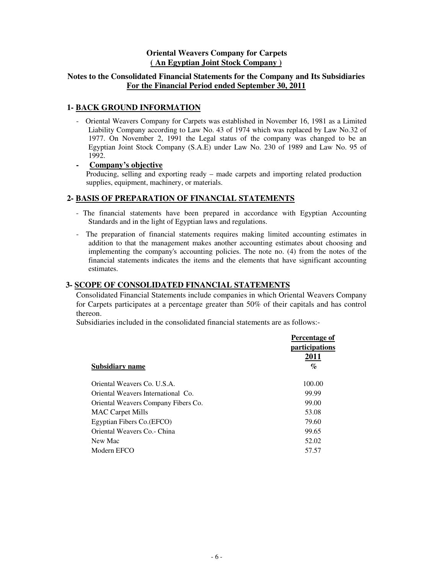#### **Oriental Weavers Company for Carpets ( An Egyptian Joint Stock Company )**

#### **Notes to the Consolidated Financial Statements for the Company and Its Subsidiaries For the Financial Period ended September 30, 2011**

#### **1- BACK GROUND INFORMATION**

- Oriental Weavers Company for Carpets was established in November 16, 1981 as a Limited Liability Company according to Law No. 43 of 1974 which was replaced by Law No.32 of 1977. On November 2, 1991 the Legal status of the company was changed to be an Egyptian Joint Stock Company (S.A.E) under Law No. 230 of 1989 and Law No. 95 of 1992.

#### **- Company's objective**

Producing, selling and exporting ready – made carpets and importing related production supplies, equipment, machinery, or materials.

#### **2- BASIS OF PREPARATION OF FINANCIAL STATEMENTS**

- The financial statements have been prepared in accordance with Egyptian Accounting Standards and in the light of Egyptian laws and regulations.
- The preparation of financial statements requires making limited accounting estimates in addition to that the management makes another accounting estimates about choosing and implementing the company's accounting policies. The note no. (4) from the notes of the financial statements indicates the items and the elements that have significant accounting estimates.

#### **3- SCOPE OF CONSOLIDATED FINANCIAL STATEMENTS**

Consolidated Financial Statements include companies in which Oriental Weavers Company for Carpets participates at a percentage greater than 50% of their capitals and has control thereon.

Subsidiaries included in the consolidated financial statements are as follows:-

|                                     | Percentage of<br><i>participations</i><br>2011 |
|-------------------------------------|------------------------------------------------|
| <b>Subsidiary name</b>              | $\%$                                           |
| Oriental Weavers Co. U.S.A.         | 100.00                                         |
| Oriental Weavers International Co.  | 99.99                                          |
| Oriental Weavers Company Fibers Co. | 99.00                                          |
| <b>MAC Carpet Mills</b>             | 53.08                                          |
| Egyptian Fibers Co. (EFCO)          | 79.60                                          |
| Oriental Weavers Co. - China        | 99.65                                          |
| New Mac                             | 52.02                                          |
| Modern EFCO                         | 57.57                                          |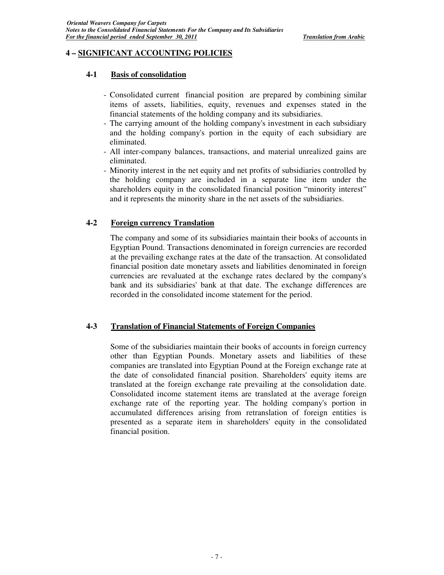#### **4 – SIGNIFICANT ACCOUNTING POLICIES**

#### **4-1 Basis of consolidation**

- Consolidated current financial position are prepared by combining similar items of assets, liabilities, equity, revenues and expenses stated in the financial statements of the holding company and its subsidiaries.
- The carrying amount of the holding company's investment in each subsidiary and the holding company's portion in the equity of each subsidiary are eliminated.
- All inter-company balances, transactions, and material unrealized gains are eliminated.
- Minority interest in the net equity and net profits of subsidiaries controlled by the holding company are included in a separate line item under the shareholders equity in the consolidated financial position "minority interest" and it represents the minority share in the net assets of the subsidiaries.

#### **4-2 Foreign currency Translation**

The company and some of its subsidiaries maintain their books of accounts in Egyptian Pound. Transactions denominated in foreign currencies are recorded at the prevailing exchange rates at the date of the transaction. At consolidated financial position date monetary assets and liabilities denominated in foreign currencies are revaluated at the exchange rates declared by the company's bank and its subsidiaries' bank at that date. The exchange differences are recorded in the consolidated income statement for the period.

#### **4-3 Translation of Financial Statements of Foreign Companies**

Some of the subsidiaries maintain their books of accounts in foreign currency other than Egyptian Pounds. Monetary assets and liabilities of these companies are translated into Egyptian Pound at the Foreign exchange rate at the date of consolidated financial position. Shareholders' equity items are translated at the foreign exchange rate prevailing at the consolidation date. Consolidated income statement items are translated at the average foreign exchange rate of the reporting year. The holding company's portion in accumulated differences arising from retranslation of foreign entities is presented as a separate item in shareholders' equity in the consolidated financial position.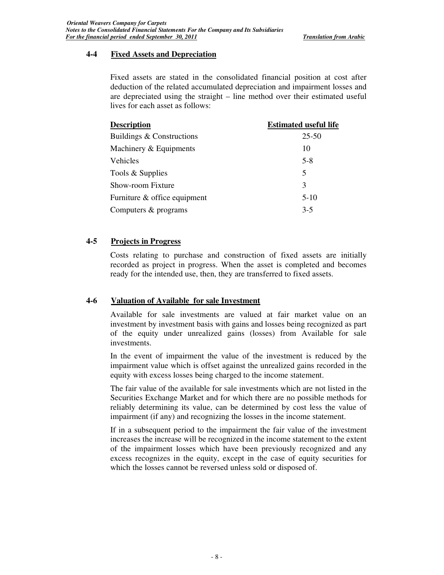#### **4-4 Fixed Assets and Depreciation**

Fixed assets are stated in the consolidated financial position at cost after deduction of the related accumulated depreciation and impairment losses and are depreciated using the straight – line method over their estimated useful lives for each asset as follows:

| <b>Description</b>           | <b>Estimated useful life</b> |
|------------------------------|------------------------------|
| Buildings & Constructions    | $25 - 50$                    |
| Machinery & Equipments       | 10                           |
| <b>Vehicles</b>              | $5 - 8$                      |
| Tools & Supplies             | 5                            |
| Show-room Fixture            | 3                            |
| Furniture & office equipment | $5-10$                       |
| Computers & programs         | $3 - 5$                      |
|                              |                              |

#### **4-5 Projects in Progress**

Costs relating to purchase and construction of fixed assets are initially recorded as project in progress. When the asset is completed and becomes ready for the intended use, then, they are transferred to fixed assets.

#### **4-6 Valuation of Available for sale Investment**

Available for sale investments are valued at fair market value on an investment by investment basis with gains and losses being recognized as part of the equity under unrealized gains (losses) from Available for sale investments.

In the event of impairment the value of the investment is reduced by the impairment value which is offset against the unrealized gains recorded in the equity with excess losses being charged to the income statement.

The fair value of the available for sale investments which are not listed in the Securities Exchange Market and for which there are no possible methods for reliably determining its value, can be determined by cost less the value of impairment (if any) and recognizing the losses in the income statement.

If in a subsequent period to the impairment the fair value of the investment increases the increase will be recognized in the income statement to the extent of the impairment losses which have been previously recognized and any excess recognizes in the equity, except in the case of equity securities for which the losses cannot be reversed unless sold or disposed of.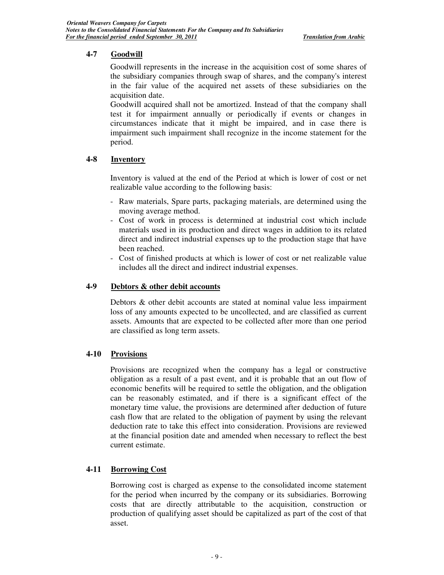## **4-7 Goodwill**

Goodwill represents in the increase in the acquisition cost of some shares of the subsidiary companies through swap of shares, and the company's interest in the fair value of the acquired net assets of these subsidiaries on the acquisition date.

Goodwill acquired shall not be amortized. Instead of that the company shall test it for impairment annually or periodically if events or changes in circumstances indicate that it might be impaired, and in case there is impairment such impairment shall recognize in the income statement for the period.

## **4-8 Inventory**

Inventory is valued at the end of the Period at which is lower of cost or net realizable value according to the following basis:

- Raw materials, Spare parts, packaging materials, are determined using the moving average method.
- Cost of work in process is determined at industrial cost which include materials used in its production and direct wages in addition to its related direct and indirect industrial expenses up to the production stage that have been reached.
- Cost of finished products at which is lower of cost or net realizable value includes all the direct and indirect industrial expenses.

### **4-9 Debtors & other debit accounts**

Debtors & other debit accounts are stated at nominal value less impairment loss of any amounts expected to be uncollected, and are classified as current assets. Amounts that are expected to be collected after more than one period are classified as long term assets.

#### **4-10 Provisions**

Provisions are recognized when the company has a legal or constructive obligation as a result of a past event, and it is probable that an out flow of economic benefits will be required to settle the obligation, and the obligation can be reasonably estimated, and if there is a significant effect of the monetary time value, the provisions are determined after deduction of future cash flow that are related to the obligation of payment by using the relevant deduction rate to take this effect into consideration. Provisions are reviewed at the financial position date and amended when necessary to reflect the best current estimate.

#### **4-11 Borrowing Cost**

Borrowing cost is charged as expense to the consolidated income statement for the period when incurred by the company or its subsidiaries. Borrowing costs that are directly attributable to the acquisition, construction or production of qualifying asset should be capitalized as part of the cost of that asset.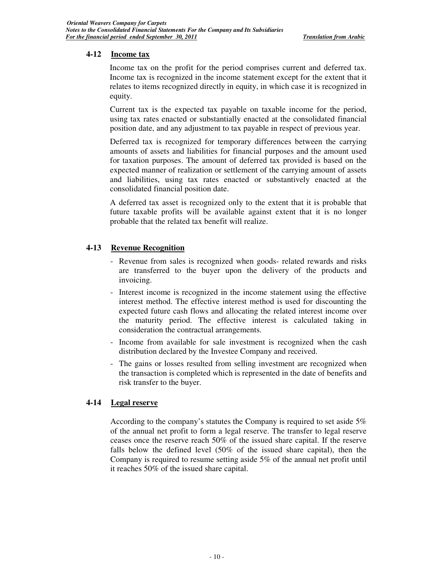#### **4-12 Income tax**

Income tax on the profit for the period comprises current and deferred tax. Income tax is recognized in the income statement except for the extent that it relates to items recognized directly in equity, in which case it is recognized in equity.

Current tax is the expected tax payable on taxable income for the period, using tax rates enacted or substantially enacted at the consolidated financial position date, and any adjustment to tax payable in respect of previous year.

Deferred tax is recognized for temporary differences between the carrying amounts of assets and liabilities for financial purposes and the amount used for taxation purposes. The amount of deferred tax provided is based on the expected manner of realization or settlement of the carrying amount of assets and liabilities, using tax rates enacted or substantively enacted at the consolidated financial position date.

A deferred tax asset is recognized only to the extent that it is probable that future taxable profits will be available against extent that it is no longer probable that the related tax benefit will realize.

#### **4-13 Revenue Recognition**

- Revenue from sales is recognized when goods- related rewards and risks are transferred to the buyer upon the delivery of the products and invoicing.
- Interest income is recognized in the income statement using the effective interest method. The effective interest method is used for discounting the expected future cash flows and allocating the related interest income over the maturity period. The effective interest is calculated taking in consideration the contractual arrangements.
- Income from available for sale investment is recognized when the cash distribution declared by the Investee Company and received.
- The gains or losses resulted from selling investment are recognized when the transaction is completed which is represented in the date of benefits and risk transfer to the buyer.

#### **4-14 Legal reserve**

According to the company's statutes the Company is required to set aside 5% of the annual net profit to form a legal reserve. The transfer to legal reserve ceases once the reserve reach 50% of the issued share capital. If the reserve falls below the defined level (50% of the issued share capital), then the Company is required to resume setting aside 5% of the annual net profit until it reaches 50% of the issued share capital.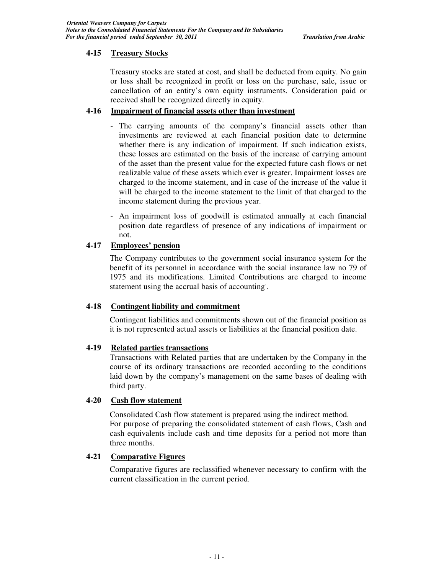## **4-15 Treasury Stocks**

Treasury stocks are stated at cost, and shall be deducted from equity. No gain or loss shall be recognized in profit or loss on the purchase, sale, issue or cancellation of an entity's own equity instruments. Consideration paid or received shall be recognized directly in equity.

## **4-16 Impairment of financial assets other than investment**

- The carrying amounts of the company's financial assets other than investments are reviewed at each financial position date to determine whether there is any indication of impairment. If such indication exists, these losses are estimated on the basis of the increase of carrying amount of the asset than the present value for the expected future cash flows or net realizable value of these assets which ever is greater. Impairment losses are charged to the income statement, and in case of the increase of the value it will be charged to the income statement to the limit of that charged to the income statement during the previous year.
- An impairment loss of goodwill is estimated annually at each financial position date regardless of presence of any indications of impairment or not.

## **4-17 Employees' pension**

The Company contributes to the government social insurance system for the benefit of its personnel in accordance with the social insurance law no 79 of 1975 and its modifications. Limited Contributions are charged to income statement using the accrual basis of accounting. .

#### **4-18 Contingent liability and commitment**

Contingent liabilities and commitments shown out of the financial position as it is not represented actual assets or liabilities at the financial position date.

#### **4-19 Related parties transactions**

Transactions with Related parties that are undertaken by the Company in the course of its ordinary transactions are recorded according to the conditions laid down by the company's management on the same bases of dealing with third party.

#### **4-20 Cash flow statement**

Consolidated Cash flow statement is prepared using the indirect method. For purpose of preparing the consolidated statement of cash flows, Cash and cash equivalents include cash and time deposits for a period not more than three months.

#### **4-21 Comparative Figures**

Comparative figures are reclassified whenever necessary to confirm with the current classification in the current period.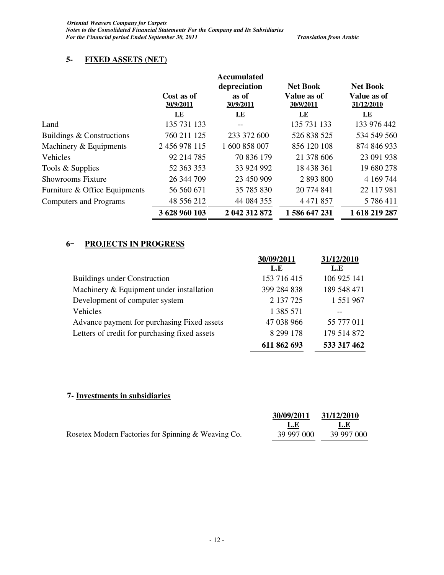## **5- FIXED ASSETS (NET)**

|                               | Cost as of<br>30/9/2011 | <b>Accumulated</b><br>depreciation<br>as of<br>30/9/2011 | <b>Net Book</b><br>Value as of<br>30/9/2011 | <b>Net Book</b><br>Value as of<br>31/12/2010 |
|-------------------------------|-------------------------|----------------------------------------------------------|---------------------------------------------|----------------------------------------------|
|                               | LE                      | $E_{\rm E}$                                              | LE                                          | $\overline{\text{LE}}$                       |
| Land                          | 135 731 133             | $-$                                                      | 135 731 133                                 | 133 976 442                                  |
| Buildings & Constructions     | 760 211 125             | 233 372 600                                              | 526 838 525                                 | 534 549 560                                  |
| Machinery & Equipments        | 2 456 978 115           | 1 600 858 007                                            | 856 120 108                                 | 874 846 933                                  |
| Vehicles                      | 92 214 785              | 70 836 179                                               | 21 378 606                                  | 23 091 938                                   |
| Tools & Supplies              | 52 363 353              | 33 924 992                                               | 18 438 361                                  | 19 680 278                                   |
| <b>Showrooms Fixture</b>      | 26 344 709              | 23 450 909                                               | 2 893 800                                   | 4 169 744                                    |
| Furniture & Office Equipments | 56 560 671              | 35 785 830                                               | 20 774 841                                  | 22 117 981                                   |
| <b>Computers and Programs</b> | 48 556 212              | 44 084 355                                               | 4 4 7 1 8 5 7                               | 5 786 411                                    |
|                               | 3 628 960 103           | 2 042 312 872                                            | 1586 647 231                                | 1 618 219 287                                |

## **6** - **PROJECTS IN PROGRESS**

|                                               | 30/09/2011  | 31/12/2010  |
|-----------------------------------------------|-------------|-------------|
|                                               | L.E         | L.E         |
| <b>Buildings under Construction</b>           | 153 716 415 | 106 925 141 |
| Machinery & Equipment under installation      | 399 284 838 | 189 548 471 |
| Development of computer system                | 2 137 725   | 1 551 967   |
| Vehicles                                      | 1 385 571   |             |
| Advance payment for purchasing Fixed assets   | 47 038 966  | 55 777 011  |
| Letters of credit for purchasing fixed assets | 8 299 178   | 179 514 872 |
|                                               | 611 862 693 | 533 317 462 |

## **7- Investments in subsidiaries**

|                                                     | 30/09/2011 | 31/12/2010 |
|-----------------------------------------------------|------------|------------|
|                                                     | L.E        | L.E        |
| Rosetex Modern Factories for Spinning & Weaving Co. | 39 997 000 | 39 997 000 |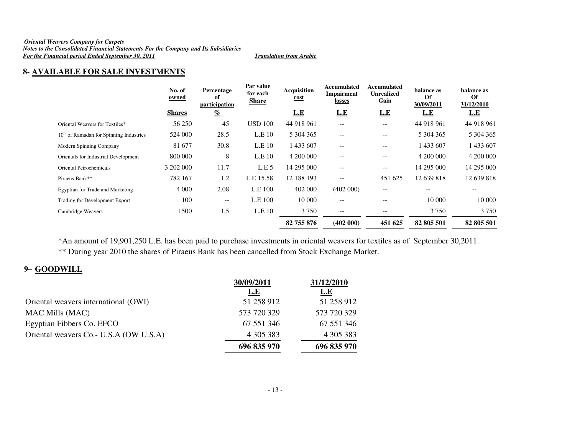#### *Oriental Weavers Company for Carpets Notes to the Consolidated Financial Statements For the Company and Its Subsidiaries For the Financial period Ended September 30, 2011 Translation from Arabic*

## **8- AVAILABLE FOR SALE INVESTMENTS**

|                                           | No. of<br>owned | Percentage<br>of<br>participation | Par value<br>for each<br><b>Share</b> | <b>Acquisition</b><br><u>cost</u> | Accumulated<br>Impairment<br>losses                 | Accumulated<br><b>Unrealized</b><br>Gain | balance as<br><b>Of</b><br>30/09/2011 | balance as<br>Of<br>31/12/2010 |
|-------------------------------------------|-----------------|-----------------------------------|---------------------------------------|-----------------------------------|-----------------------------------------------------|------------------------------------------|---------------------------------------|--------------------------------|
|                                           | <b>Shares</b>   | $\frac{q}{\ell}$                  |                                       | L.E                               | <u>L.E</u>                                          | <u>L.E</u>                               | L.E                                   | <u>L.E</u>                     |
| Oriental Weavers for Textiles*            | 56 250          | 45                                | <b>USD 100</b>                        | 44 918 961                        | $- -$                                               | $- -$                                    | 44 918 961                            | 44 918 961                     |
| $10th$ of Ramadan for Spinning Industries | 524 000         | 28.5                              | L.E.10                                | 5 304 365                         | $\hspace{0.05cm} -\hspace{0.05cm} -\hspace{0.05cm}$ | $\overline{\phantom{m}}$                 | 5 304 365                             | 5 304 365                      |
| Modern Spinning Company                   | 81 677          | 30.8                              | L.E <sub>10</sub>                     | 1 433 607                         | $-$                                                 | $\qquad \qquad -$                        | 433 607                               | 1 433 607                      |
| Orientals for Industrial Development      | 800 000         | 8                                 | L.E <sub>10</sub>                     | 4 200 000                         | $\overline{\phantom{a}}$                            | $\qquad \qquad -$                        | 4 200 000                             | 4 200 000                      |
| Oriental Petrochemicals                   | 3 202 000       | 11.7                              | L.E.5                                 | 14 295 000                        | $\overline{\phantom{a}}$                            | $\qquad \qquad -$                        | 14 295 000                            | 14 295 000                     |
| Piraeus Bank**                            | 782 167         | 1.2                               | L.E 15.58                             | 12 188 193                        | $\qquad \qquad -$                                   | 451 625                                  | 12 639 818                            | 12 639 818                     |
| Egyptian for Trade and Marketing          | 4 0 0 0         | 2.08                              | L.E 100                               | 402 000                           | (402 000)                                           | $- -$                                    | $- -$                                 | $- -$                          |
| Trading for Development Export            | 100             | $- -$                             | L.E 100                               | 10 000                            | $\qquad \qquad -$                                   | --                                       | 10 000                                | 10 000                         |
| Cambridge Weavers                         | 1500            | 1,5                               | L.E 10                                | 3 7 5 0                           | $\overline{\phantom{m}}$                            | $\overline{\phantom{m}}$                 | 3 7 5 0                               | 3 7 5 0                        |
|                                           |                 |                                   |                                       | 82 755 876                        | (402 000)                                           | 451 625                                  | 82 805 501                            | 82 805 501                     |

\*An amount of 19,901,250 L.E. has been paid to purchase investments in oriental weavers for textiles as of September 30,2011. \*\* During year 2010 the shares of Piraeus Bank has been cancelled from Stock Exchange Market.

## **9** – **GOODWILL**

|                                         | 30/09/2011  | 31/12/2010  |
|-----------------------------------------|-------------|-------------|
|                                         | <b>L.E</b>  | <u>L.E</u>  |
| Oriental weavers international (OWI)    | 51 258 912  | 51 258 912  |
| <b>MAC Mills (MAC)</b>                  | 573 720 329 | 573 720 329 |
| Egyptian Fibbers Co. EFCO               | 67 551 346  | 67 551 346  |
| Oriental weavers Co. - U.S.A (OW U.S.A) | 4 305 383   | 4 305 383   |
|                                         | 696 835 970 | 696 835 970 |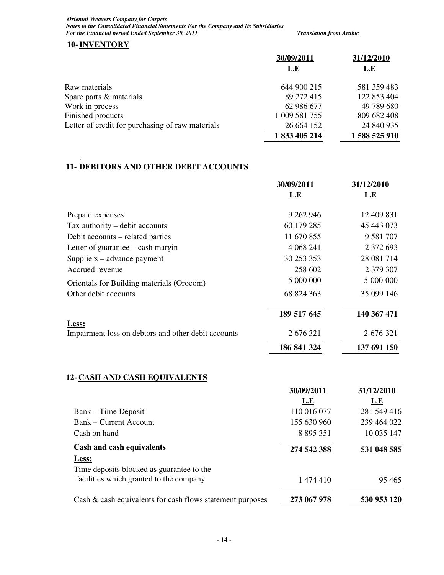*Oriental Weavers Company for Carpets Notes to the Consolidated Financial Statements For the Company and Its Subsidiaries For the Financial period Ended September 30, 2011 Translation from Arabic* 

#### **10-INVENTORY**

.

|                                                  | 30/09/2011    | 31/12/2010  |
|--------------------------------------------------|---------------|-------------|
|                                                  | <b>L.E</b>    | <u>L.E</u>  |
| Raw materials                                    | 644 900 215   | 581 359 483 |
| Spare parts & materials                          | 89 272 415    | 122 853 404 |
| Work in process                                  | 62 986 677    | 49 789 680  |
| Finished products                                | 1 009 581 755 | 809 682 408 |
| Letter of credit for purchasing of raw materials | 26 664 152    | 24 840 935  |
|                                                  | 1 833 405 214 | 1588525910  |

## **11- DEBITORS AND OTHER DEBIT ACCOUNTS**

|                                                              | 30/09/2011  | 31/12/2010    |
|--------------------------------------------------------------|-------------|---------------|
|                                                              | L.E         | <u>L.E</u>    |
| Prepaid expenses                                             | 9 262 946   | 12 409 831    |
| Tax authority – debit accounts                               | 60 179 285  | 45 443 073    |
| Debit accounts – related parties                             | 11 670 855  | 9 5 8 1 7 0 7 |
| Letter of guarantee $-\cosh \frac{m}{2}$                     | 4 0 68 241  | 2 372 693     |
| Suppliers – advance payment                                  | 30 253 353  | 28 081 714    |
| Accrued revenue                                              | 258 602     | 2 379 307     |
| Orientals for Building materials (Orocom)                    | 5 000 000   | 5 000 000     |
| Other debit accounts                                         | 68 824 363  | 35 099 146    |
|                                                              | 189 517 645 | 140 367 471   |
| Less:<br>Impairment loss on debtors and other debit accounts | 2 676 321   | 2 676 321     |
|                                                              | 186 841 324 | 137 691 150   |

## **12- CASH AND CASH EQUIVALENTS**

|                                                           | 30/09/2011    | 31/12/2010  |
|-----------------------------------------------------------|---------------|-------------|
|                                                           | L.E           | <b>L.E</b>  |
| Bank – Time Deposit                                       | 110 016 077   | 281 549 416 |
| <b>Bank – Current Account</b>                             | 155 630 960   | 239 464 022 |
| Cash on hand                                              | 8 8 9 5 3 5 1 | 10 035 147  |
| Cash and cash equivalents                                 | 274 542 388   | 531 048 585 |
| Less:<br>Time deposits blocked as guarantee to the        |               |             |
| facilities which granted to the company                   | 1 474 410     | 95 4 65     |
| Cash & cash equivalents for cash flows statement purposes | 273 067 978   | 530 953 120 |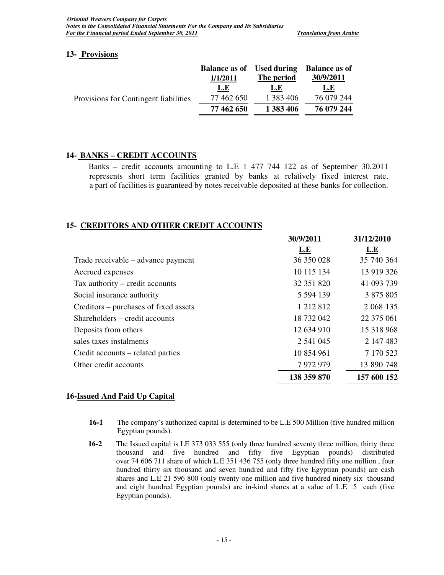#### **13- Provisions**

|                                       | <b>Balance as of</b> | <b>Used during</b> | <b>Balance as of</b> |
|---------------------------------------|----------------------|--------------------|----------------------|
|                                       | 1/1/2011             | The period         | 30/9/2011            |
|                                       | <u>L.E</u>           | L.E                | <u>L.E</u>           |
| Provisions for Contingent liabilities | 77 462 650           | 1 383 406          | 76 079 244           |
|                                       | 77 462 650           | 1 383 406          | 76 079 244           |
|                                       |                      |                    |                      |

## **14- BANKS – CREDIT ACCOUNTS**

Banks – credit accounts amounting to L.E 1 477 744 122 as of September 30,2011 represents short term facilities granted by banks at relatively fixed interest rate, a part of facilities is guaranteed by notes receivable deposited at these banks for collection.

## **15- CREDITORS AND OTHER CREDIT ACCOUNTS**

| 30/9/2011     | 31/12/2010  |
|---------------|-------------|
| L.E           | <u>L.E</u>  |
| 36 350 028    | 35 740 364  |
| 10 115 134    | 13 919 326  |
| 32 351 820    | 41 093 739  |
| 5 5 9 4 1 3 9 | 3 875 805   |
| 1 212 812     | 2 068 135   |
| 18 732 042    | 22 375 061  |
| 12 634 910    | 15 318 968  |
| 2 541 045     | 2 147 483   |
| 10 854 961    | 7 170 523   |
| 7 972 979     | 13 890 748  |
| 138 359 870   | 157 600 152 |
|               |             |

#### **16-Issued And Paid Up Capital**

- **16-1** The company's authorized capital is determined to be L.E 500 Million (five hundred million Egyptian pounds).
- **16-2** The Issued capital is LE 373 033 555 (only three hundred seventy three million, thirty three thousand and five hundred and fifty five Egyptian pounds) distributed over 74 606 711 share of which L.E 351 436 755 (only three hundred fifty one million , four hundred thirty six thousand and seven hundred and fifty five Egyptian pounds) are cash shares and L.E 21 596 800 (only twenty one million and five hundred ninety six thousand and eight hundred Egyptian pounds) are in-kind shares at a value of L.E 5 each (five Egyptian pounds).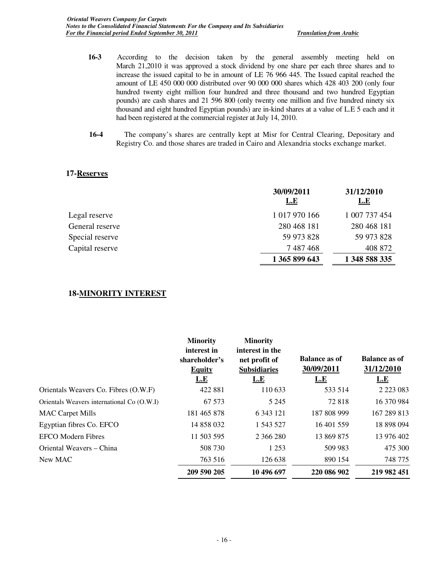- **16-3** According to the decision taken by the general assembly meeting held on March 21,2010 it was approved a stock dividend by one share per each three shares and to increase the issued capital to be in amount of LE 76 966 445. The Issued capital reached the amount of LE 450 000 000 distributed over 90 000 000 shares which 428 403 200 (only four hundred twenty eight million four hundred and three thousand and two hundred Egyptian pounds) are cash shares and 21 596 800 (only twenty one million and five hundred ninety six thousand and eight hundred Egyptian pounds) are in-kind shares at a value of L.E 5 each and it had been registered at the commercial register at July 14, 2010.
- **16-4** The company's shares are centrally kept at Misr for Central Clearing, Depositary and Registry Co. and those shares are traded in Cairo and Alexandria stocks exchange market.

#### **17-Reserves**

|                 | 30/09/2011<br><u>L.E</u> | 31/12/2010<br><u>L.E</u> |
|-----------------|--------------------------|--------------------------|
| Legal reserve   | 1 017 970 166            | 1 007 737 454            |
| General reserve | 280 468 181              | 280 468 181              |
| Special reserve | 59 973 828               | 59 973 828               |
| Capital reserve | 7 487 468                | 408 872                  |
|                 | 1 365 899 643            | 1 348 588 335            |

#### **18-MINORITY INTEREST**

|                                            | <b>Minority</b><br>interest in<br>shareholder's<br><b>Equity</b><br><u>L.E</u> | <b>Minority</b><br>interest in the<br>net profit of<br><b>Subsidiaries</b><br><u>L.E</u> | <b>Balance as of</b><br>30/09/2011<br><u>L.E</u> | <b>Balance as of</b><br>31/12/2010<br>L.E |
|--------------------------------------------|--------------------------------------------------------------------------------|------------------------------------------------------------------------------------------|--------------------------------------------------|-------------------------------------------|
| Orientals Weavers Co. Fibres (O.W.F)       | 422 881                                                                        | 110 633                                                                                  | 533 514                                          | 2 2 2 3 0 8 3                             |
| Orientals Weavers international Co (O.W.I) | 67 573                                                                         | 5 2 4 5                                                                                  | 72818                                            | 16 370 984                                |
| <b>MAC Carpet Mills</b>                    | 181 465 878                                                                    | 6 3 4 3 1 2 1                                                                            | 187 808 999                                      | 167 289 813                               |
| Egyptian fibres Co. EFCO                   | 14 858 032                                                                     | 1 543 527                                                                                | 16 401 559                                       | 18 898 094                                |
| <b>EFCO</b> Modern Fibres                  | 11 503 595                                                                     | 2 366 280                                                                                | 13 869 875                                       | 13 976 402                                |
| Oriental Weavers – China                   | 508 730                                                                        | 1 2 5 3                                                                                  | 509 983                                          | 475 300                                   |
| New MAC                                    | 763 516                                                                        | 126 638                                                                                  | 890 154                                          | 748 775                                   |
|                                            | 209 590 205                                                                    | 10 496 697                                                                               | 220 086 902                                      | 219 982 451                               |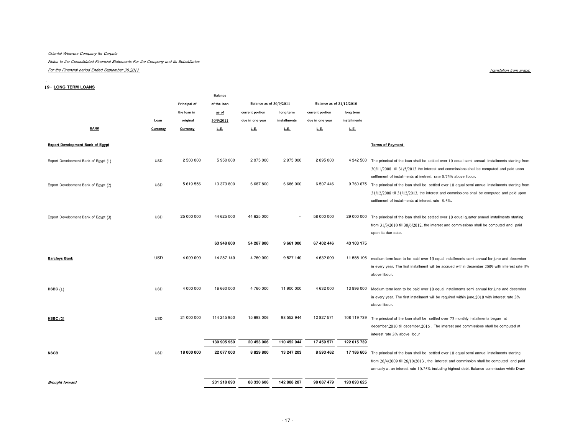#### Oriental Weavers Company for Carpets

Notes to the Consolidated Financial Statements For the Company and Its Subsidiaries

For the Financial period Ended September 30,2011

#### $\frac{1}{1}$

#### 19-LONG TERM LOANS

|            |                                                      | <b>Balance</b>                                                              |                                                                                                 |                                                                                              |                                                                                                                  |                                                                                            |                                                                                                                  |
|------------|------------------------------------------------------|-----------------------------------------------------------------------------|-------------------------------------------------------------------------------------------------|----------------------------------------------------------------------------------------------|------------------------------------------------------------------------------------------------------------------|--------------------------------------------------------------------------------------------|------------------------------------------------------------------------------------------------------------------|
|            | Principal of                                         | of the loan                                                                 |                                                                                                 |                                                                                              |                                                                                                                  |                                                                                            |                                                                                                                  |
|            | the loan in                                          | as of                                                                       | current portion                                                                                 | long term                                                                                    | current portion                                                                                                  | long term                                                                                  |                                                                                                                  |
| Loan       | original                                             | 30/9/2011                                                                   | due in one year                                                                                 | installments                                                                                 | due in one year                                                                                                  | installments                                                                               |                                                                                                                  |
| Currency   | Currency                                             | L.E.                                                                        | L.E.                                                                                            | L.E.                                                                                         | L.E.                                                                                                             | L.E.                                                                                       |                                                                                                                  |
|            |                                                      |                                                                             |                                                                                                 |                                                                                              |                                                                                                                  |                                                                                            |                                                                                                                  |
|            |                                                      |                                                                             |                                                                                                 |                                                                                              |                                                                                                                  |                                                                                            | <b>Terms of Payment</b>                                                                                          |
|            |                                                      |                                                                             |                                                                                                 |                                                                                              |                                                                                                                  |                                                                                            |                                                                                                                  |
| <b>USD</b> |                                                      |                                                                             |                                                                                                 |                                                                                              |                                                                                                                  |                                                                                            | 4 342 500 The principal of the loan shall be settled over 10 equal semi annual installments starting from        |
|            |                                                      |                                                                             |                                                                                                 |                                                                                              |                                                                                                                  |                                                                                            | $30/11/2008$ till $31/5/2013$ the interest and commissions, shall be computed and paid upon                      |
|            |                                                      |                                                                             |                                                                                                 |                                                                                              |                                                                                                                  |                                                                                            | settlement of installments at inetrest rate 0.75% above libour.                                                  |
|            |                                                      |                                                                             |                                                                                                 |                                                                                              |                                                                                                                  |                                                                                            | 9 760 675 The principal of the loan shall be settled over 10 equal semi annual installments starting from        |
|            |                                                      |                                                                             |                                                                                                 |                                                                                              |                                                                                                                  |                                                                                            | $31/12/2008$ till $31/12/2013$ , the interest and commissions shall be computed and paid upon                    |
|            |                                                      |                                                                             |                                                                                                 |                                                                                              |                                                                                                                  |                                                                                            | settlement of installments at interest rate 8.5%.                                                                |
|            |                                                      |                                                                             |                                                                                                 |                                                                                              |                                                                                                                  |                                                                                            |                                                                                                                  |
|            |                                                      |                                                                             |                                                                                                 |                                                                                              |                                                                                                                  |                                                                                            | The principal of the loan shall be settled over 10 equal quarter annual installments starting                    |
|            |                                                      |                                                                             |                                                                                                 |                                                                                              |                                                                                                                  |                                                                                            | from $31/3/2010$ till $30/6/2012$ , the interest and commissions shall be computed and paid                      |
|            |                                                      |                                                                             |                                                                                                 |                                                                                              |                                                                                                                  |                                                                                            | upon its due date.                                                                                               |
|            |                                                      | 63 948 800                                                                  | 54 287 800                                                                                      | 9 661 000                                                                                    | 67 402 446                                                                                                       | 43 103 175                                                                                 |                                                                                                                  |
|            |                                                      |                                                                             |                                                                                                 |                                                                                              |                                                                                                                  |                                                                                            |                                                                                                                  |
|            |                                                      |                                                                             |                                                                                                 |                                                                                              |                                                                                                                  |                                                                                            | medium term loan to be paid over 10 equal installments semi annual for june and december                         |
|            |                                                      |                                                                             |                                                                                                 |                                                                                              |                                                                                                                  |                                                                                            | in every year. The first installment will be accrued within december 2009 with interest rate 3%<br>above libour. |
|            |                                                      |                                                                             |                                                                                                 |                                                                                              |                                                                                                                  |                                                                                            |                                                                                                                  |
| <b>USD</b> | 4 000 000                                            | 16 660 000                                                                  | 4760000                                                                                         | 11 900 000                                                                                   | 4 632 000                                                                                                        | 13 896 000                                                                                 | Medium term loan to be paid over 10 equal installments semi annual for june and december                         |
|            |                                                      |                                                                             |                                                                                                 |                                                                                              |                                                                                                                  |                                                                                            | in every year. The first installment will be required within june, 2010 with interest rate 3%                    |
|            |                                                      |                                                                             |                                                                                                 |                                                                                              |                                                                                                                  |                                                                                            | above libour.                                                                                                    |
|            |                                                      |                                                                             |                                                                                                 |                                                                                              |                                                                                                                  |                                                                                            |                                                                                                                  |
|            |                                                      |                                                                             |                                                                                                 |                                                                                              |                                                                                                                  |                                                                                            | The principal of the loan shall be settled over 73 monthly installments began at                                 |
|            |                                                      |                                                                             |                                                                                                 |                                                                                              |                                                                                                                  |                                                                                            | december, 2010 till december, 2016. The interest and commissions shall be computed at                            |
|            |                                                      |                                                                             |                                                                                                 |                                                                                              |                                                                                                                  |                                                                                            | interest rate 3% above libour                                                                                    |
|            |                                                      |                                                                             |                                                                                                 |                                                                                              |                                                                                                                  |                                                                                            |                                                                                                                  |
| <b>USD</b> |                                                      |                                                                             |                                                                                                 |                                                                                              |                                                                                                                  |                                                                                            | The principal of the loan shall be settled over 10 equal semi annual installments starting                       |
|            |                                                      |                                                                             |                                                                                                 |                                                                                              |                                                                                                                  |                                                                                            | from $26/4/2009$ till $26/10/2013$ , the interest and commission shall be computed and paid                      |
|            |                                                      |                                                                             |                                                                                                 |                                                                                              |                                                                                                                  |                                                                                            | annually at an interest rate 10.25% including highest debit Balance commission while Draw                        |
|            |                                                      | 231 218 893                                                                 | 88 330 606                                                                                      | 142 888 287                                                                                  | 98 087 479                                                                                                       | 193 893 625                                                                                |                                                                                                                  |
|            | <b>USD</b><br><b>USD</b><br><b>USD</b><br><b>USD</b> | 2 500 000<br>5619556<br>25 000 000<br>4 000 000<br>21 000 000<br>18 000 000 | 5 950 000<br>13 373 800<br>44 625 000<br>14 287 140<br>114 245 950<br>130 905 950<br>22 077 003 | 2 975 000<br>6 687 800<br>44 625 000<br>4 760 000<br>15 693 006<br>20 453 006<br>8 8 29 8 00 | Balance as of 30/9/2011<br>2 975 000<br>6 686 000<br>٠.<br>9 5 27 140<br>98 552 944<br>110 452 944<br>13 247 203 | 2 895 000<br>6 507 446<br>58 000 000<br>4 632 000<br>12 827 571<br>17 459 571<br>8 593 462 | Balance as of 31/12/2010<br>29 000 000<br>11 588 106<br>108 119 739<br>122 015 739<br>17 186 605                 |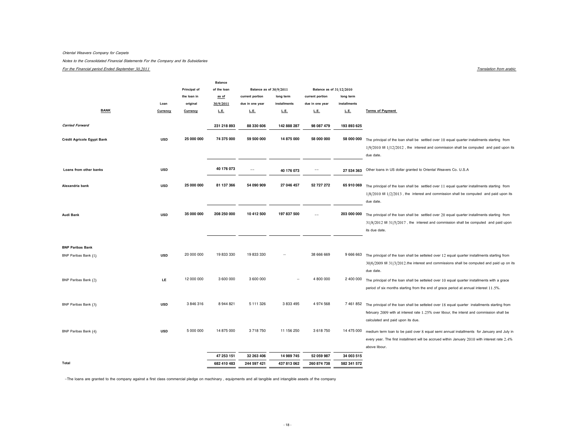#### Oriental Weavers Company for Carpets

Notes to the Consolidated Financial Statements For the Company and Its Subsidiaries

#### For the Financial period Ended September 30,2011

Translation from arabic

|                            |            |              | <b>Balance</b> |                          |              |                          |              |                                                                                                                                                                                                                                           |
|----------------------------|------------|--------------|----------------|--------------------------|--------------|--------------------------|--------------|-------------------------------------------------------------------------------------------------------------------------------------------------------------------------------------------------------------------------------------------|
|                            |            | Principal of | of the loan    | Balance as of 30/9/2011  |              | Balance as of 31/12/2010 |              |                                                                                                                                                                                                                                           |
|                            |            | the loan in  | as of          | current portion          | long term    | current portion          | long term    |                                                                                                                                                                                                                                           |
|                            | Loan       | original     | 30/9/2011      | due in one year          | installments | due in one year          | installments |                                                                                                                                                                                                                                           |
| <b>BANK</b>                | Currency   | Currency     | L.E.           | L.E.                     | L.E.         | L.E.                     | L.E.         | <b>Terms of Payment</b>                                                                                                                                                                                                                   |
| <b>Carried Forward</b>     |            |              | 231 218 893    | 88 330 606               | 142 888 287  | 98 087 479               | 193 893 625  |                                                                                                                                                                                                                                           |
| Crédit Agricole Egypt Bank | <b>USD</b> | 25 000 000   | 74 375 000     | 59 500 000               | 14 875 000   | 58 000 000               | 58 000 000   | The principal of the loan shall be settled over 10 equal quarter installments starting from<br>$1/9/2010$ till $1/12/2012$ , the interest and commission shall be computed and paid upon its<br>due date.                                 |
| Loans from other banks     | <b>USD</b> |              | 40 176 073     | $\overline{\phantom{a}}$ | 40 176 073   |                          | 27 534 363   | Other loans in US dollar granted to Oriental Weavers Co. U.S.A                                                                                                                                                                            |
| Alexandria bank            | <b>USD</b> | 25 000 000   | 81 137 366     | 54 090 909               | 27 046 457   | 52 727 272               | 65 910 069   | The principal of the loan shall be settled over 11 equal quarter installments starting from<br>$1/8/2010$ till $1/2/2013$ , the interest and commission shall be computed and paid upon its<br>due date.                                  |
| Audi Bank                  | <b>USD</b> | 35 000 000   | 208 250 000    | 10 412 500               | 197 837 500  | $-$                      | 203 000 000  | The principal of the loan shall be settled over 20 equal quarter installments starting from<br>$31/8/2012$ till $31/5/2017$ , the interest and commission shall be computed and paid upon<br>its due date.                                |
| <b>BNP Paribas Bank</b>    |            |              |                |                          |              |                          |              |                                                                                                                                                                                                                                           |
| BNP Paribas Bank (1)       | <b>USD</b> | 20 000 000   | 19 833 330     | 19 833 330               |              | 38 666 669               | 9 666 663    | The principal of the loan shall be setteled over 12 equal quarter installments starting from<br>$30/6/2009$ till $31/3/2012$ . the interest and commissions shall be computed and paid up on its<br>due date.                             |
| BNP Paribas Bank (2)       | <b>LE</b>  | 12 000 000   | 3 600 000      | 3 600 000                |              | 4 800 000                | 2 400 000    | The principal of the loan shall be setteled over 10 equal quarter installments with a grace<br>period of six months starting from the end of grace period at annual interest 11.5%.                                                       |
| BNP Paribas Bank (3)       | <b>USD</b> | 3846316      | 8 944 821      | 5 111 326                | 3 8 3 4 9 5  | 4 974 568                |              | 7 461 852 The principal of the loan shall be setteled over 18 equal quarter installments starting from<br>february 2009 with at interest rate 1.25% over libour, the interst and commission shall be<br>calculated and paid upon its due. |
| BNP Paribas Bank (4)       | <b>USD</b> | 5 000 000    | 14 875 000     | 3 718 750                | 11 156 250   | 3 618 750                | 14 475 000   | medium term loan to be paid over 8 equal semi annual installments for January and July in<br>every year. The first installment will be accrued within January 2010 with interest rate 2.4%<br>above libour.                               |
|                            |            |              | 47 253 151     | 32 263 406               | 14 989 745   | 52 059 987               | 34 003 515   |                                                                                                                                                                                                                                           |
| Total                      |            |              | 682 410 483    | 244 597 421              | 437 813 062  | 260 874 738              | 582 341 572  |                                                                                                                                                                                                                                           |

7The loans are granted to the company against a first class commercial pledge on machinary , equipments and all tangible and intangible assets of the company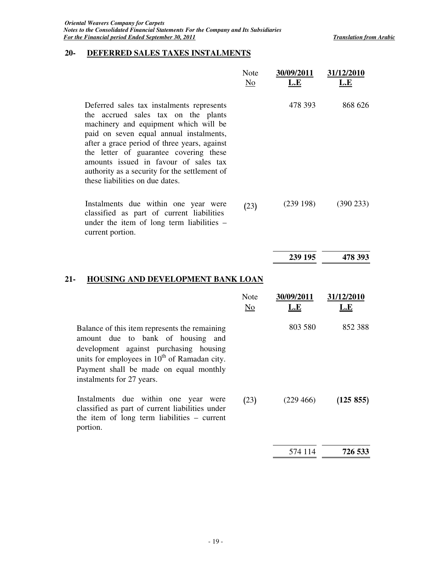## **20- DEFERRED SALES TAXES INSTALMENTS**

|                                                                                                                                                                                                                                                                                                                                                                                             | Note<br>$\underline{\mathrm{No}}$ | 30/09/2011<br><u>L.E</u> | 31/12/2010<br><u>L.E</u> |
|---------------------------------------------------------------------------------------------------------------------------------------------------------------------------------------------------------------------------------------------------------------------------------------------------------------------------------------------------------------------------------------------|-----------------------------------|--------------------------|--------------------------|
| Deferred sales tax instalments represents<br>the accrued sales tax on the plants<br>machinery and equipment which will be<br>paid on seven equal annual instalments,<br>after a grace period of three years, against<br>the letter of guarantee covering these<br>amounts issued in favour of sales tax<br>authority as a security for the settlement of<br>these liabilities on due dates. |                                   | 478 393                  | 868 626                  |
| Instalments due within one year were<br>classified as part of current liabilities<br>under the item of long term liabilities -<br>current portion.                                                                                                                                                                                                                                          | (23)                              | (239198)                 | $(390\ 233)$             |
|                                                                                                                                                                                                                                                                                                                                                                                             |                                   | 239 195                  | 478 393                  |
| <b>HOUSING AND DEVELOPMENT BANK LOAN</b><br>21-                                                                                                                                                                                                                                                                                                                                             |                                   |                          |                          |
|                                                                                                                                                                                                                                                                                                                                                                                             | Note<br>No                        | 30/09/2011<br>L.E        | 31/12/2010               |
|                                                                                                                                                                                                                                                                                                                                                                                             |                                   |                          | <u>L.E</u>               |
| Balance of this item represents the remaining<br>amount due to bank of housing and<br>development against purchasing housing<br>units for employees in $10^{th}$ of Ramadan city.<br>Payment shall be made on equal monthly<br>instalments for 27 years.                                                                                                                                    |                                   | 803 580                  | 852 388                  |
| Instalments due within one year were<br>classified as part of current liabilities under<br>the item of long term liabilities – current<br>portion.                                                                                                                                                                                                                                          | (23)                              | (229 466)                | (125 855)                |
|                                                                                                                                                                                                                                                                                                                                                                                             |                                   | 574 114                  | 726 533                  |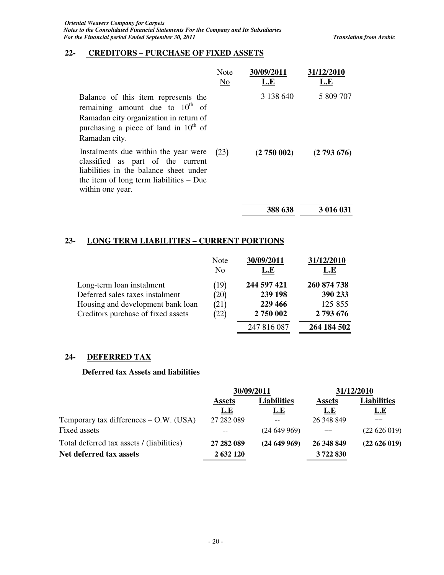## **22- CREDITORS – PURCHASE OF FIXED ASSETS**

|                                                                                                                                                                                      | <b>Note</b><br>No | 30/09/2011<br>L.E | 31/12/2010<br>L.E |
|--------------------------------------------------------------------------------------------------------------------------------------------------------------------------------------|-------------------|-------------------|-------------------|
| Balance of this item represents the<br>remaining amount due to $10^{th}$ of<br>Ramadan city organization in return of<br>purchasing a piece of land in $10^{th}$ of<br>Ramadan city. |                   | 3 138 640         | 5 809 707         |
| Instalments due within the year were<br>classified as part of the current<br>liabilities in the balance sheet under<br>the item of long term liabilities $-$ Due<br>within one year. | (23)              | (2750002)         | (2793676)         |
|                                                                                                                                                                                      |                   | 388 638           | 3 016 031         |

## **23- LONG TERM LIABILITIES – CURRENT PORTIONS**

|                                    | Note<br>$\overline{\text{No}}$ | 30/09/2011<br>L.E | 31/12/2010<br>L.E |
|------------------------------------|--------------------------------|-------------------|-------------------|
| Long-term loan instalment          | (19)                           | 244 597 421       | 260 874 738       |
| Deferred sales taxes instalment    | (20)                           | 239 198           | 390 233           |
| Housing and development bank loan  | (21)                           | 229 466           | 125 855           |
| Creditors purchase of fixed assets | (22)                           | 2750 002          | 2793676           |
|                                    |                                | 247 816 087       | 264 184 502       |

## **24- DEFERRED TAX**

#### **Deferred tax Assets and liabilities**

|                                           |                              | 30/09/2011 | 31/12/2010    |             |  |
|-------------------------------------------|------------------------------|------------|---------------|-------------|--|
|                                           | Liabilities<br><b>Assets</b> |            | <b>Assets</b> | Liabilities |  |
|                                           | L.E                          | <u>L.E</u> | L.E           | <u>L.E</u>  |  |
| Temporary tax differences – O.W. (USA)    | 27 282 089                   |            | 26 348 849    |             |  |
| Fixed assets                              |                              | (24649969) |               | (22626019)  |  |
| Total deferred tax assets / (liabilities) | 27 282 089                   | (24649969) | 26 348 849    | (22626019)  |  |
| Net deferred tax assets                   | 2 632 120                    |            | 3722830       |             |  |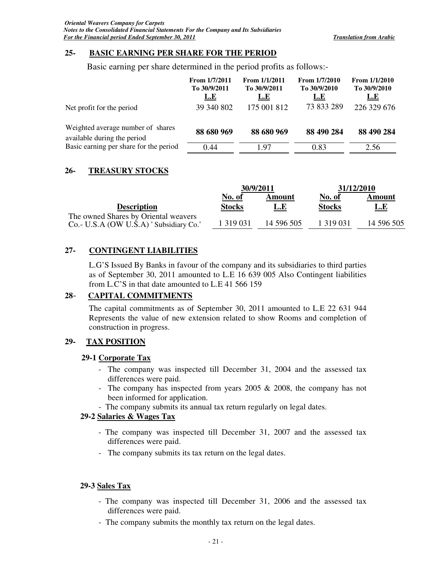### **25- BASIC EARNING PER SHARE FOR THE PERIOD**

Basic earning per share determined in the period profits as follows:-

|                                                                  | From $1/7/2011$<br>To 30/9/2011<br><u>L.E</u> | From $1/1/2011$<br>To 30/9/2011<br>L.E | From 1/7/2010<br>To 30/9/2010<br><u>L.E</u> | From $1/1/2010$<br>To 30/9/2010<br><u>L.E</u> |
|------------------------------------------------------------------|-----------------------------------------------|----------------------------------------|---------------------------------------------|-----------------------------------------------|
| Net profit for the period                                        | 39 340 802                                    | 175 001 812                            | 73 833 289                                  | 226 329 676                                   |
| Weighted average number of shares<br>available during the period | 88 680 969                                    | 88 680 969                             | 88 490 284                                  | 88 490 284                                    |
| Basic earning per share for the period                           | 0.44                                          | 197                                    | 0.83                                        | 2.56                                          |

## **26- TREASURY STOCKS**

|                                                                                | 30/9/2011     |            | 31/12/2010    |            |
|--------------------------------------------------------------------------------|---------------|------------|---------------|------------|
|                                                                                | No. of        | Amount     | No. of        | Amount     |
| <b>Description</b>                                                             | <b>Stocks</b> | L.E        | <b>Stocks</b> | <u>L.E</u> |
| The owned Shares by Oriental weavers<br>Co.- U.S.A (OW U.S.A) "Subsidiary Co." | 1 3 1 9 0 3 1 | 14 596 505 | 1 319 031     | 14 596 505 |

## **27- CONTINGENT LIABILITIES**

L.G'S Issued By Banks in favour of the company and its subsidiaries to third parties as of September 30, 2011 amounted to L.E 16 639 005 Also Contingent liabilities from L.C'S in that date amounted to L.E 41 566 159

## **28**- **CAPITAL COMMITMENTS**

The capital commitments as of September 30, 2011 amounted to L.E 22 631 944 Represents the value of new extension related to show Rooms and completion of construction in progress.

## **29- TAX POSITION**

#### **29-1 Corporate Tax**

- The company was inspected till December 31, 2004 and the assessed tax differences were paid.
- The company has inspected from years 2005 & 2008, the company has not been informed for application.
- The company submits its annual tax return regularly on legal dates.

#### **29-2 Salaries & Wages Tax**

- The company was inspected till December 31, 2007 and the assessed tax differences were paid.
- The company submits its tax return on the legal dates.

## **29-3 Sales Tax**

- The company was inspected till December 31, 2006 and the assessed tax differences were paid.
- The company submits the monthly tax return on the legal dates.